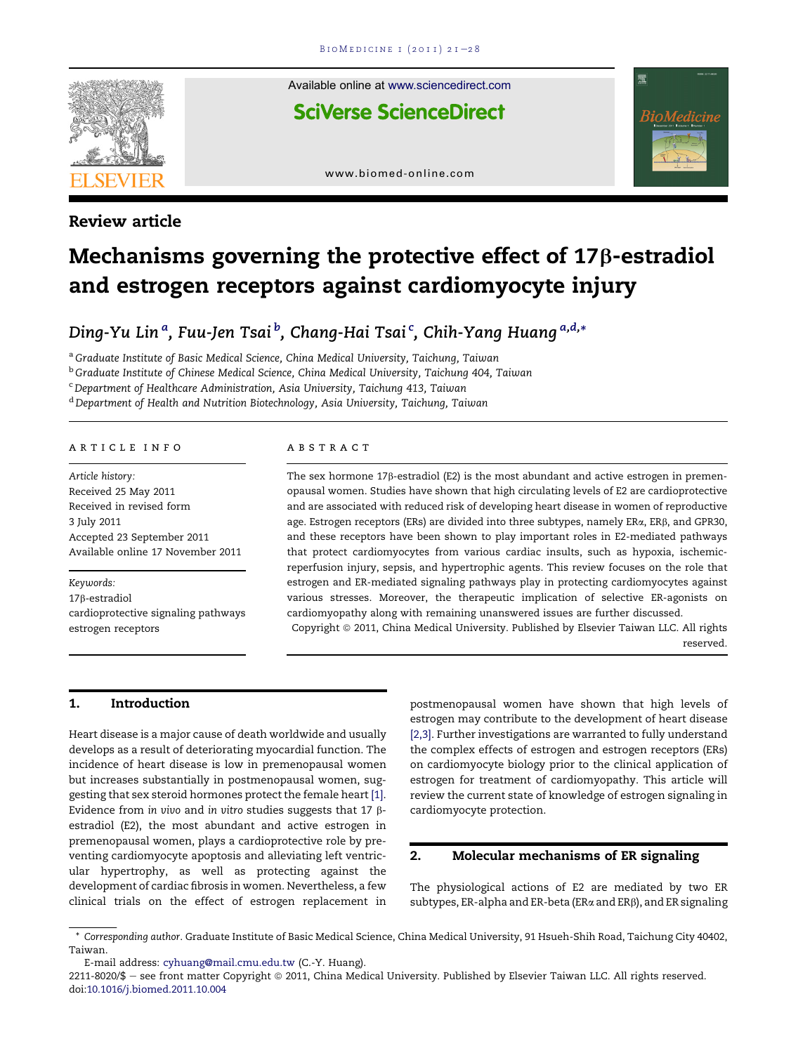

Review article

Available online at [www.sciencedirect.com](www.sciencedirect.com/science/journal/22118020)

**SciVerse ScienceDirect** 



[www.biomed-online.com](http://www.biomed-online.com)

# Mechanisms governing the protective effect of  $17\beta$ -estradiol and estrogen receptors against cardiomyocyte injury

Ding-Yu Lin <sup>a</sup>, Fuu-Jen Tsai <sup>b</sup>, Chang-Hai Tsai <sup>c</sup>, Chih-Yang Huang <sup>a,d,</sup>\*

<sup>a</sup> Graduate Institute of Basic Medical Science, China Medical University, Taichung, Taiwan

<sup>b</sup> Graduate Institute of Chinese Medical Science, China Medical University, Taichung 404, Taiwan

<sup>c</sup> Department of Healthcare Administration, Asia University, Taichung 413, Taiwan

<sup>d</sup> Department of Health and Nutrition Biotechnology, Asia University, Taichung, Taiwan

#### article info

Article history: Received 25 May 2011 Received in revised form 3 July 2011 Accepted 23 September 2011 Available online 17 November 2011

Keywords: <sup>17</sup>b-estradiol cardioprotective signaling pathways estrogen receptors

#### abstract

The sex hormone  $17\beta$ -estradiol (E2) is the most abundant and active estrogen in premenopausal women. Studies have shown that high circulating levels of E2 are cardioprotective and are associated with reduced risk of developing heart disease in women of reproductive age. Estrogen receptors (ERs) are divided into three subtypes, namely ERa, ERb, and GPR30, and these receptors have been shown to play important roles in E2-mediated pathways that protect cardiomyocytes from various cardiac insults, such as hypoxia, ischemicreperfusion injury, sepsis, and hypertrophic agents. This review focuses on the role that estrogen and ER-mediated signaling pathways play in protecting cardiomyocytes against various stresses. Moreover, the therapeutic implication of selective ER-agonists on cardiomyopathy along with remaining unanswered issues are further discussed. Copyright © 2011, China Medical University. Published by Elsevier Taiwan LLC. All rights

reserved.

### 1. Introduction

Heart disease is a major cause of death worldwide and usually develops as a result of deteriorating myocardial function. The incidence of heart disease is low in premenopausal women but increases substantially in postmenopausal women, suggesting that sex steroid hormones protect the female heart [\[1\].](#page-5-0) Evidence from in vivo and in vitro studies suggests that 17  $\beta$ estradiol (E2), the most abundant and active estrogen in premenopausal women, plays a cardioprotective role by preventing cardiomyocyte apoptosis and alleviating left ventricular hypertrophy, as well as protecting against the development of cardiac fibrosis in women. Nevertheless, a few clinical trials on the effect of estrogen replacement in postmenopausal women have shown that high levels of estrogen may contribute to the development of heart disease [\[2,3\].](#page-5-0) Further investigations are warranted to fully understand the complex effects of estrogen and estrogen receptors (ERs) on cardiomyocyte biology prior to the clinical application of estrogen for treatment of cardiomyopathy. This article will review the current state of knowledge of estrogen signaling in cardiomyocyte protection.

#### 2. Molecular mechanisms of ER signaling

The physiological actions of E2 are mediated by two ER subtypes, ER-alpha and ER-beta (ERa and ERß), and ER signaling

<sup>\*</sup> Corresponding author. Graduate Institute of Basic Medical Science, China Medical University, 91 Hsueh-Shih Road, Taichung City 40402, Taiwan.

E-mail address: [cyhuang@mail.cmu.edu.tw](mailto:cyhuang@mail.cmu.edu.tw) (C.-Y. Huang).

<sup>2211-8020/\$ -</sup> see front matter Copyright © 2011, China Medical University. Published by Elsevier Taiwan LLC. All rights reserved. doi[:10.1016/j.biomed.2011.10.004](http://dx.doi.org/10.1016/j.biomed.2011.10.004)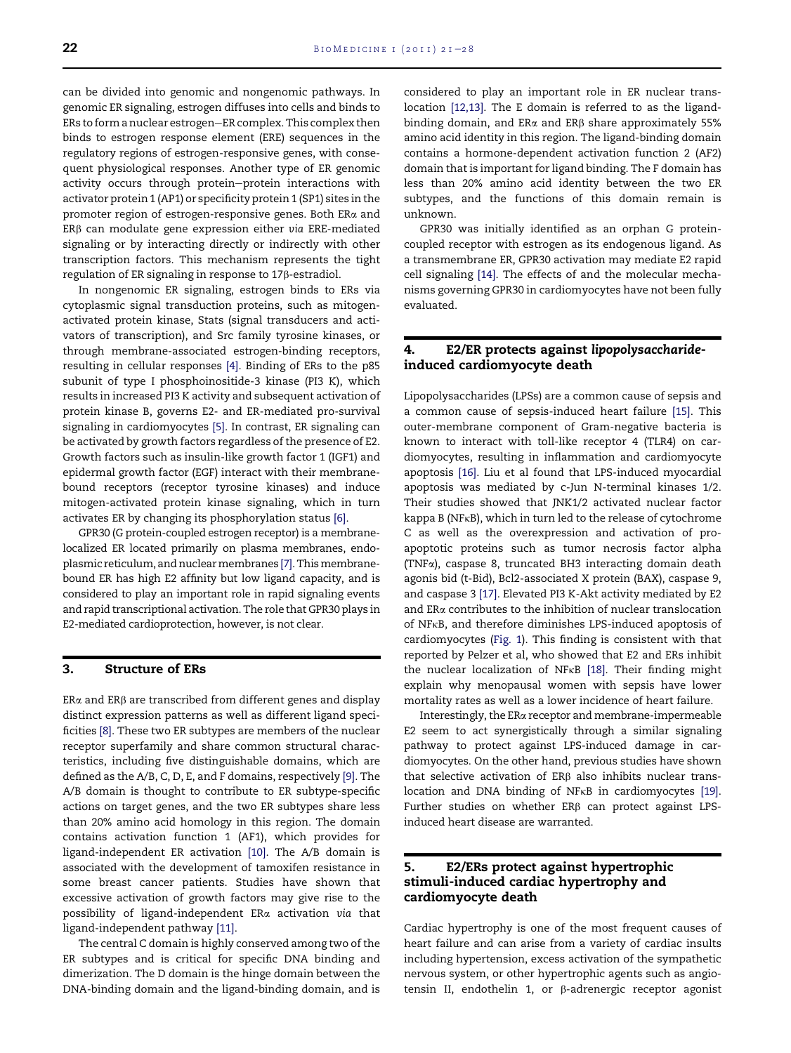can be divided into genomic and nongenomic pathways. In genomic ER signaling, estrogen diffuses into cells and binds to ERs to form a nuclear estrogen-ER complex. This complex then binds to estrogen response element (ERE) sequences in the regulatory regions of estrogen-responsive genes, with consequent physiological responses. Another type of ER genomic activity occurs through protein-protein interactions with activator protein 1 (AP1) or specificity protein 1 (SP1) sites in the promoter region of estrogen-responsive genes. Both ERa and  $ER\beta$  can modulate gene expression either via ERE-mediated signaling or by interacting directly or indirectly with other transcription factors. This mechanism represents the tight regulation of ER signaling in response to 17b-estradiol.

In nongenomic ER signaling, estrogen binds to ERs via cytoplasmic signal transduction proteins, such as mitogenactivated protein kinase, Stats (signal transducers and activators of transcription), and Src family tyrosine kinases, or through membrane-associated estrogen-binding receptors, resulting in cellular responses [\[4\].](#page-5-0) Binding of ERs to the p85 subunit of type I phosphoinositide-3 kinase (PI3 K), which results in increased PI3 K activity and subsequent activation of protein kinase B, governs E2- and ER-mediated pro-survival signaling in cardiomyocytes [\[5\]](#page-5-0). In contrast, ER signaling can be activated by growth factors regardless of the presence of E2. Growth factors such as insulin-like growth factor 1 (IGF1) and epidermal growth factor (EGF) interact with their membranebound receptors (receptor tyrosine kinases) and induce mitogen-activated protein kinase signaling, which in turn activates ER by changing its phosphorylation status [\[6\].](#page-5-0)

GPR30 (G protein-coupled estrogen receptor) is a membranelocalized ER located primarily on plasma membranes, endo-plasmic reticulum, and nuclear membranes [\[7\]](#page-5-0). This membranebound ER has high E2 affinity but low ligand capacity, and is considered to play an important role in rapid signaling events and rapid transcriptional activation. The role that GPR30 plays in E2-mediated cardioprotection, however, is not clear.

#### 3. Structure of ERs

 $ER\alpha$  and  $ER\beta$  are transcribed from different genes and display distinct expression patterns as well as different ligand specificities [\[8\]](#page-5-0). These two ER subtypes are members of the nuclear receptor superfamily and share common structural characteristics, including five distinguishable domains, which are defined as the A/B, C, D, E, and F domains, respectively [\[9\]](#page-5-0). The A/B domain is thought to contribute to ER subtype-specific actions on target genes, and the two ER subtypes share less than 20% amino acid homology in this region. The domain contains activation function 1 (AF1), which provides for ligand-independent ER activation [\[10\]](#page-6-0). The A/B domain is associated with the development of tamoxifen resistance in some breast cancer patients. Studies have shown that excessive activation of growth factors may give rise to the possibility of ligand-independent ERa activation via that ligand-independent pathway [\[11\].](#page-6-0)

The central C domain is highly conserved among two of the ER subtypes and is critical for specific DNA binding and dimerization. The D domain is the hinge domain between the DNA-binding domain and the ligand-binding domain, and is considered to play an important role in ER nuclear translocation [\[12,13\]](#page-6-0). The E domain is referred to as the ligandbinding domain, and ER $\alpha$  and ER $\beta$  share approximately 55% amino acid identity in this region. The ligand-binding domain contains a hormone-dependent activation function 2 (AF2) domain that is important for ligand binding. The F domain has less than 20% amino acid identity between the two ER subtypes, and the functions of this domain remain is unknown.

GPR30 was initially identified as an orphan G proteincoupled receptor with estrogen as its endogenous ligand. As a transmembrane ER, GPR30 activation may mediate E2 rapid cell signaling [\[14\]](#page-6-0). The effects of and the molecular mechanisms governing GPR30 in cardiomyocytes have not been fully evaluated.

## 4. E2/ER protects against lipopolysaccharideinduced cardiomyocyte death

Lipopolysaccharides (LPSs) are a common cause of sepsis and a common cause of sepsis-induced heart failure [\[15\]](#page-6-0). This outer-membrane component of Gram-negative bacteria is known to interact with toll-like receptor 4 (TLR4) on cardiomyocytes, resulting in inflammation and cardiomyocyte apoptosis [\[16\].](#page-6-0) Liu et al found that LPS-induced myocardial apoptosis was mediated by c-Jun N-terminal kinases 1/2. Their studies showed that JNK1/2 activated nuclear factor kappa B (NFkB), which in turn led to the release of cytochrome C as well as the overexpression and activation of proapoptotic proteins such as tumor necrosis factor alpha (TNFa), caspase 8, truncated BH3 interacting domain death agonis bid (t-Bid), Bcl2-associated X protein (BAX), caspase 9, and caspase 3 [\[17\].](#page-6-0) Elevated PI3 K-Akt activity mediated by E2 and ERa contributes to the inhibition of nuclear translocation of NFkB, and therefore diminishes LPS-induced apoptosis of cardiomyocytes ([Fig. 1](#page-2-0)). This finding is consistent with that reported by Pelzer et al, who showed that E2 and ERs inhibit the nuclear localization of NFk<sup>B</sup> [\[18\].](#page-6-0) Their finding might explain why menopausal women with sepsis have lower mortality rates as well as a lower incidence of heart failure.

Interestingly, the ERa receptor and membrane-impermeable E2 seem to act synergistically through a similar signaling pathway to protect against LPS-induced damage in cardiomyocytes. On the other hand, previous studies have shown that selective activation of ER $\beta$  also inhibits nuclear trans-location and DNA binding of NF<sub>K</sub>B in cardiomyocytes [\[19\]](#page-6-0). Further studies on whether  $ER\beta$  can protect against LPSinduced heart disease are warranted.

## 5. E2/ERs protect against hypertrophic stimuli-induced cardiac hypertrophy and cardiomyocyte death

Cardiac hypertrophy is one of the most frequent causes of heart failure and can arise from a variety of cardiac insults including hypertension, excess activation of the sympathetic nervous system, or other hypertrophic agents such as angiotensin II, endothelin 1, or b-adrenergic receptor agonist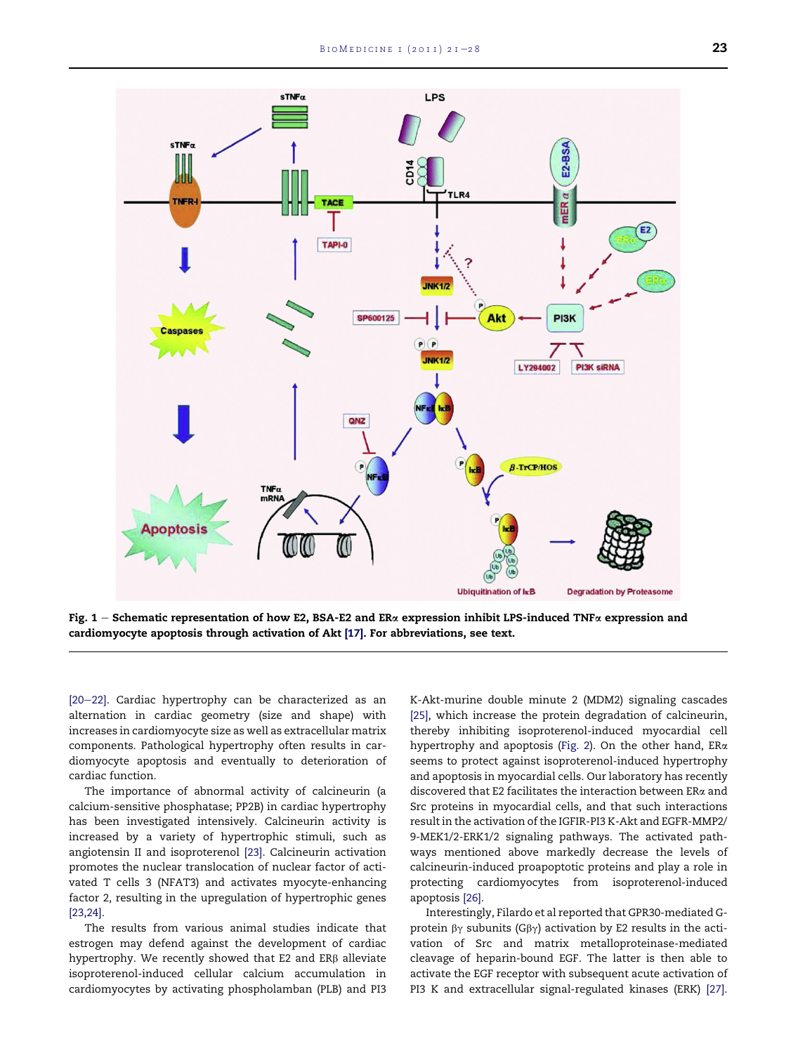<span id="page-2-0"></span>

Fig. 1 – Schematic representation of how E2, BSA-E2 and ER $\alpha$  expression inhibit LPS-induced TNF $\alpha$  expression and cardiomyocyte apoptosis through activation of Akt [\[17\].](#page-6-0) For abbreviations, see text.

[\[20](#page-6-0)-[22\]](#page-6-0). Cardiac hypertrophy can be characterized as an alternation in cardiac geometry (size and shape) with increases in cardiomyocyte size as well as extracellular matrix components. Pathological hypertrophy often results in cardiomyocyte apoptosis and eventually to deterioration of cardiac function.

The importance of abnormal activity of calcineurin (a calcium-sensitive phosphatase; PP2B) in cardiac hypertrophy has been investigated intensively. Calcineurin activity is increased by a variety of hypertrophic stimuli, such as angiotensin II and isoproterenol [\[23\].](#page-6-0) Calcineurin activation promotes the nuclear translocation of nuclear factor of activated T cells 3 (NFAT3) and activates myocyte-enhancing factor 2, resulting in the upregulation of hypertrophic genes [\[23,24\].](#page-6-0)

The results from various animal studies indicate that estrogen may defend against the development of cardiac hypertrophy. We recently showed that E2 and ER $\beta$  alleviate isoproterenol-induced cellular calcium accumulation in cardiomyocytes by activating phospholamban (PLB) and PI3

K-Akt-murine double minute 2 (MDM2) signaling cascades [\[25\],](#page-6-0) which increase the protein degradation of calcineurin, thereby inhibiting isoproterenol-induced myocardial cell hypertrophy and apoptosis ([Fig. 2](#page-3-0)). On the other hand, ERa seems to protect against isoproterenol-induced hypertrophy and apoptosis in myocardial cells. Our laboratory has recently discovered that E2 facilitates the interaction between ERa and Src proteins in myocardial cells, and that such interactions result in the activation of the IGFIR-PI3 K-Akt and EGFR-MMP2/ 9-MEK1/2-ERK1/2 signaling pathways. The activated pathways mentioned above markedly decrease the levels of calcineurin-induced proapoptotic proteins and play a role in protecting cardiomyocytes from isoproterenol-induced apoptosis [\[26\]](#page-6-0).

Interestingly, Filardo et al reported that GPR30-mediated Gprotein  $\beta\gamma$  subunits (G $\beta\gamma$ ) activation by E2 results in the activation of Src and matrix metalloproteinase-mediated cleavage of heparin-bound EGF. The latter is then able to activate the EGF receptor with subsequent acute activation of PI3 K and extracellular signal-regulated kinases (ERK) [\[27\].](#page-6-0)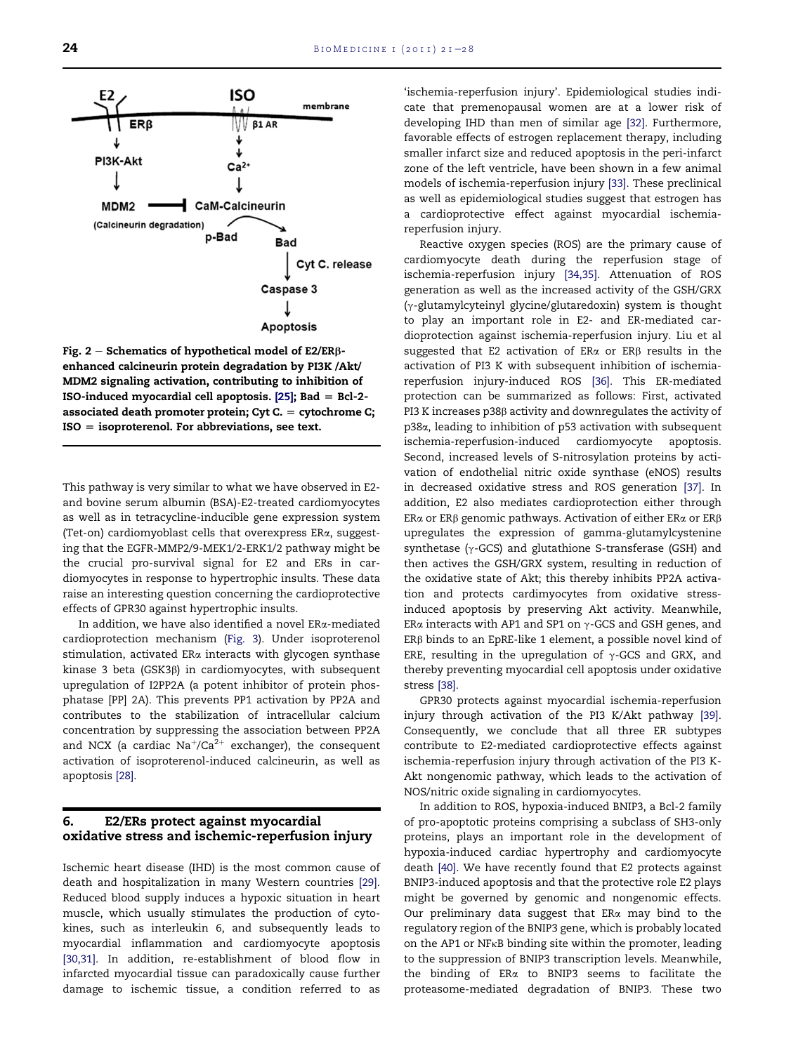<span id="page-3-0"></span>

Fig. 2 – Schematics of hypothetical model of E2/ER $\beta$ enhanced calcineurin protein degradation by PI3K /Akt/ MDM2 signaling activation, contributing to inhibition of ISO-induced myocardial cell apoptosis.  $[25]$ ; Bad = Bcl-2associated death promoter protein; Cyt C.  $=$  cytochrome C;  $ISO = isoproterenol.$  For abbreviations, see text.

This pathway is very similar to what we have observed in E2 and bovine serum albumin (BSA)-E2-treated cardiomyocytes as well as in tetracycline-inducible gene expression system (Tet-on) cardiomyoblast cells that overexpress ERa, suggesting that the EGFR-MMP2/9-MEK1/2-ERK1/2 pathway might be the crucial pro-survival signal for E2 and ERs in cardiomyocytes in response to hypertrophic insults. These data raise an interesting question concerning the cardioprotective effects of GPR30 against hypertrophic insults.

In addition, we have also identified a novel ERa-mediated cardioprotection mechanism [\(Fig. 3\)](#page-4-0). Under isoproterenol stimulation, activated ERa interacts with glycogen synthase kinase 3 beta (GSK3b) in cardiomyocytes, with subsequent upregulation of I2PP2A (a potent inhibitor of protein phosphatase [PP] 2A). This prevents PP1 activation by PP2A and contributes to the stabilization of intracellular calcium concentration by suppressing the association between PP2A and NCX (a cardiac  $\text{Na}^+/ \text{Ca}^{2+}$  exchanger), the consequent activation of isoproterenol-induced calcineurin, as well as apoptosis [\[28\].](#page-6-0)

## 6. E2/ERs protect against myocardial oxidative stress and ischemic-reperfusion injury

Ischemic heart disease (IHD) is the most common cause of death and hospitalization in many Western countries [\[29\]](#page-6-0). Reduced blood supply induces a hypoxic situation in heart muscle, which usually stimulates the production of cytokines, such as interleukin 6, and subsequently leads to myocardial inflammation and cardiomyocyte apoptosis [\[30,31\].](#page-6-0) In addition, re-establishment of blood flow in infarcted myocardial tissue can paradoxically cause further damage to ischemic tissue, a condition referred to as

'ischemia-reperfusion injury'. Epidemiological studies indicate that premenopausal women are at a lower risk of developing IHD than men of similar age [\[32\].](#page-6-0) Furthermore, favorable effects of estrogen replacement therapy, including smaller infarct size and reduced apoptosis in the peri-infarct zone of the left ventricle, have been shown in a few animal models of ischemia-reperfusion injury [\[33\].](#page-6-0) These preclinical as well as epidemiological studies suggest that estrogen has a cardioprotective effect against myocardial ischemiareperfusion injury.

Reactive oxygen species (ROS) are the primary cause of cardiomyocyte death during the reperfusion stage of ischemia-reperfusion injury [\[34,35\].](#page-6-0) Attenuation of ROS generation as well as the increased activity of the GSH/GRX  $(y$ -glutamylcyteinyl glycine/glutaredoxin) system is thought to play an important role in E2- and ER-mediated cardioprotection against ischemia-reperfusion injury. Liu et al suggested that E2 activation of ER $\alpha$  or ER $\beta$  results in the activation of PI3 K with subsequent inhibition of ischemiareperfusion injury-induced ROS [\[36\]](#page-6-0). This ER-mediated protection can be summarized as follows: First, activated PI3 K increases  $p38\beta$  activity and downregulates the activity of p38 $\alpha$ , leading to inhibition of p53 activation with subsequent ischemia-reperfusion-induced cardiomyocyte apoptosis. ischemia-reperfusion-induced cardiomyocyte Second, increased levels of S-nitrosylation proteins by activation of endothelial nitric oxide synthase (eNOS) results in decreased oxidative stress and ROS generation [\[37\]](#page-6-0). In addition, E2 also mediates cardioprotection either through ER $\alpha$  or ER $\beta$  genomic pathways. Activation of either ER $\alpha$  or ER $\beta$ upregulates the expression of gamma-glutamylcystenine synthetase ( $\gamma$ -GCS) and glutathione S-transferase (GSH) and then actives the GSH/GRX system, resulting in reduction of the oxidative state of Akt; this thereby inhibits PP2A activation and protects cardimyocytes from oxidative stressinduced apoptosis by preserving Akt activity. Meanwhile, ER $\alpha$  interacts with AP1 and SP1 on  $\gamma$ -GCS and GSH genes, and  $ER\beta$  binds to an EpRE-like 1 element, a possible novel kind of ERE, resulting in the upregulation of  $\gamma$ -GCS and GRX, and thereby preventing myocardial cell apoptosis under oxidative stress [\[38\]](#page-6-0).

GPR30 protects against myocardial ischemia-reperfusion injury through activation of the PI3 K/Akt pathway [\[39\]](#page-6-0). Consequently, we conclude that all three ER subtypes contribute to E2-mediated cardioprotective effects against ischemia-reperfusion injury through activation of the PI3 K-Akt nongenomic pathway, which leads to the activation of NOS/nitric oxide signaling in cardiomyocytes.

In addition to ROS, hypoxia-induced BNIP3, a Bcl-2 family of pro-apoptotic proteins comprising a subclass of SH3-only proteins, plays an important role in the development of hypoxia-induced cardiac hypertrophy and cardiomyocyte death [\[40\].](#page-6-0) We have recently found that E2 protects against BNIP3-induced apoptosis and that the protective role E2 plays might be governed by genomic and nongenomic effects. Our preliminary data suggest that ERa may bind to the regulatory region of the BNIP3 gene, which is probably located on the AP1 or NFkB binding site within the promoter, leading to the suppression of BNIP3 transcription levels. Meanwhile, the binding of ERa to BNIP3 seems to facilitate the proteasome-mediated degradation of BNIP3. These two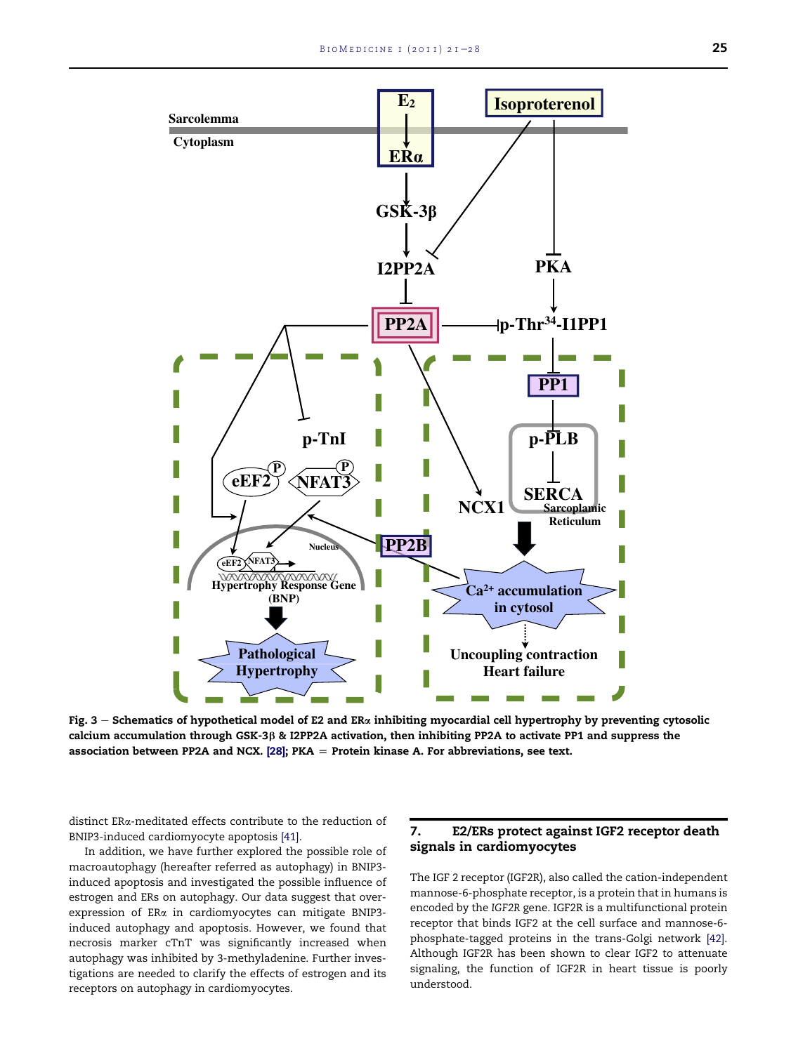<span id="page-4-0"></span>

Fig.  $3$  – Schematics of hypothetical model of E2 and ER $\alpha$  inhibiting myocardial cell hypertrophy by preventing cytosolic calcium accumulation through GSK-3 $\beta$  & I2PP2A activation, then inhibiting PP2A to activate PP1 and suppress the association between PP2A and NCX. [\[28\];](#page-6-0) PKA  $=$  Protein kinase A. For abbreviations, see text.

distinct ERa-meditated effects contribute to the reduction of BNIP3-induced cardiomyocyte apoptosis [\[41\]](#page-6-0).

In addition, we have further explored the possible role of macroautophagy (hereafter referred as autophagy) in BNIP3 induced apoptosis and investigated the possible influence of estrogen and ERs on autophagy. Our data suggest that overexpression of ERa in cardiomyocytes can mitigate BNIP3 induced autophagy and apoptosis. However, we found that necrosis marker cTnT was significantly increased when autophagy was inhibited by 3-methyladenine. Further investigations are needed to clarify the effects of estrogen and its receptors on autophagy in cardiomyocytes.

### 7. E2/ERs protect against IGF2 receptor death signals in cardiomyocytes

The IGF 2 receptor (IGF2R), also called the cation-independent mannose-6-phosphate receptor, is a protein that in humans is encoded by the IGF2R gene. IGF2R is a multifunctional protein receptor that binds IGF2 at the cell surface and mannose-6 phosphate-tagged proteins in the trans-Golgi network [\[42\].](#page-7-0) Although IGF2R has been shown to clear IGF2 to attenuate signaling, the function of IGF2R in heart tissue is poorly understood.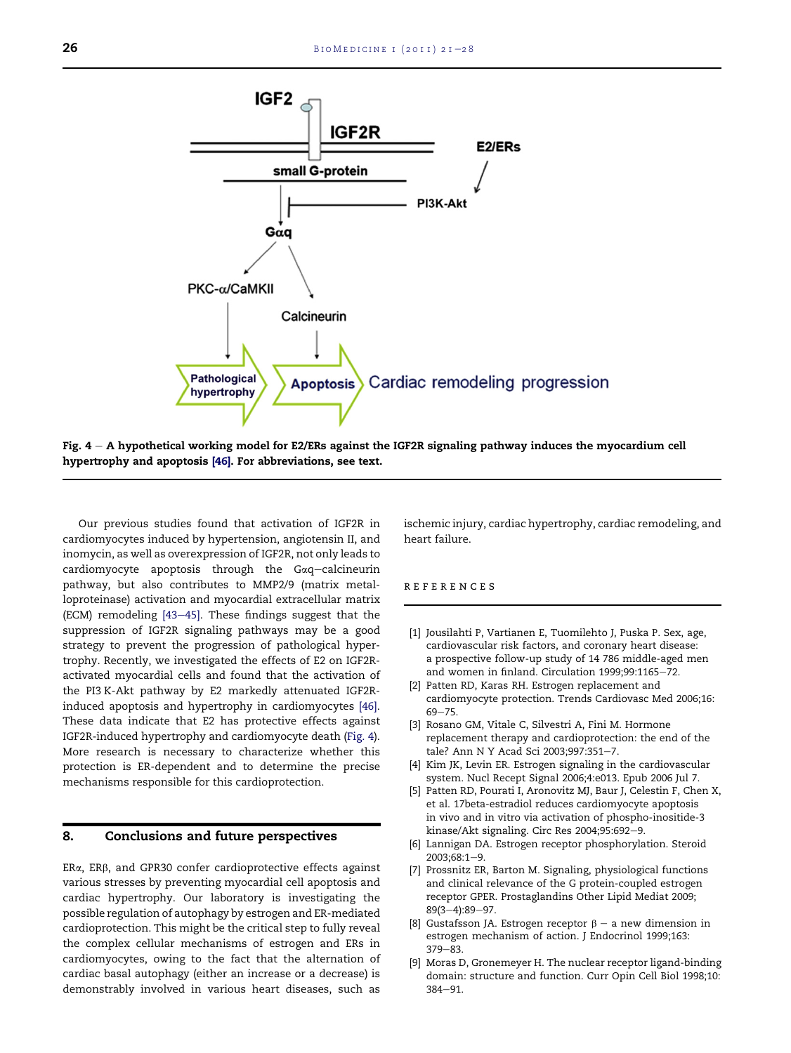<span id="page-5-0"></span>

Fig.  $4 - A$  hypothetical working model for E2/ERs against the IGF2R signaling pathway induces the myocardium cell hypertrophy and apoptosis [\[46\].](#page-7-0) For abbreviations, see text.

Our previous studies found that activation of IGF2R in cardiomyocytes induced by hypertension, angiotensin II, and inomycin, as well as overexpression of IGF2R, not only leads to  $cardiomyocyte$  apoptosis through the  $Gaq-calcineurin$ pathway, but also contributes to MMP2/9 (matrix metalloproteinase) activation and myocardial extracellular matrix (ECM) remodeling  $[43-45]$  $[43-45]$ . These findings suggest that the suppression of IGF2R signaling pathways may be a good strategy to prevent the progression of pathological hypertrophy. Recently, we investigated the effects of E2 on IGF2Ractivated myocardial cells and found that the activation of the PI3 K-Akt pathway by E2 markedly attenuated IGF2Rinduced apoptosis and hypertrophy in cardiomyocytes [\[46\]](#page-7-0). These data indicate that E2 has protective effects against IGF2R-induced hypertrophy and cardiomyocyte death (Fig. 4). More research is necessary to characterize whether this protection is ER-dependent and to determine the precise mechanisms responsible for this cardioprotection.

## 8. Conclusions and future perspectives

ERa, ERß, and GPR30 confer cardioprotective effects against various stresses by preventing myocardial cell apoptosis and cardiac hypertrophy. Our laboratory is investigating the possible regulation of autophagy by estrogen and ER-mediated cardioprotection. This might be the critical step to fully reveal the complex cellular mechanisms of estrogen and ERs in cardiomyocytes, owing to the fact that the alternation of cardiac basal autophagy (either an increase or a decrease) is demonstrably involved in various heart diseases, such as

ischemic injury, cardiac hypertrophy, cardiac remodeling, and heart failure.

#### references

- [1] Jousilahti P, Vartianen E, Tuomilehto J, Puska P. Sex, age, cardiovascular risk factors, and coronary heart disease: a prospective follow-up study of 14 786 middle-aged men and women in finland. Circulation 1999;99:1165-72.
- [2] Patten RD, Karas RH. Estrogen replacement and cardiomyocyte protection. Trends Cardiovasc Med 2006;16:  $69 - 75.$
- [3] Rosano GM, Vitale C, Silvestri A, Fini M. Hormone replacement therapy and cardioprotection: the end of the tale? Ann N Y Acad Sci 2003;997:351-7.
- [4] Kim JK, Levin ER. Estrogen signaling in the cardiovascular system. Nucl Recept Signal 2006;4:e013. Epub 2006 Jul 7.
- [5] Patten RD, Pourati I, Aronovitz MJ, Baur J, Celestin F, Chen X, et al. 17beta-estradiol reduces cardiomyocyte apoptosis in vivo and in vitro via activation of phospho-inositide-3 kinase/Akt signaling. Circ Res 2004;95:692-9.
- [6] Lannigan DA. Estrogen receptor phosphorylation. Steroid 2003;68:1-9.
- [7] Prossnitz ER, Barton M. Signaling, physiological functions and clinical relevance of the G protein-coupled estrogen receptor GPER. Prostaglandins Other Lipid Mediat 2009; 89(3-4):89-97.
- [8] Gustafsson JA. Estrogen receptor  $\beta$  a new dimension in estrogen mechanism of action. J Endocrinol 1999;163:  $379 - 83.$
- [9] Moras D, Gronemeyer H. The nuclear receptor ligand-binding domain: structure and function. Curr Opin Cell Biol 1998;10:  $384 - 91.$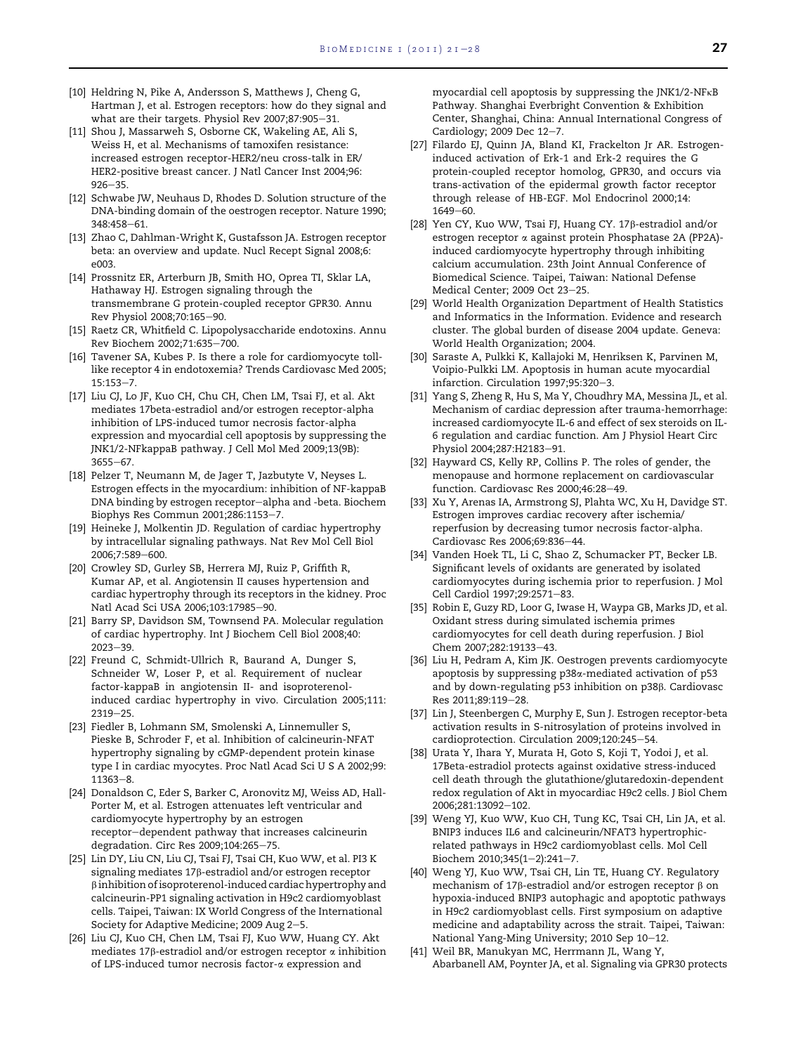- <span id="page-6-0"></span>[10] Heldring N, Pike A, Andersson S, Matthews J, Cheng G, Hartman J, et al. Estrogen receptors: how do they signal and what are their targets. Physiol Rev 2007;87:905-31.
- [11] Shou J, Massarweh S, Osborne CK, Wakeling AE, Ali S, Weiss H, et al. Mechanisms of tamoxifen resistance: increased estrogen receptor-HER2/neu cross-talk in ER/ HER2-positive breast cancer. J Natl Cancer Inst 2004;96:  $926 - 35.$
- [12] Schwabe JW, Neuhaus D, Rhodes D. Solution structure of the DNA-binding domain of the oestrogen receptor. Nature 1990; 348:458-61.
- [13] Zhao C, Dahlman-Wright K, Gustafsson JA. Estrogen receptor beta: an overview and update. Nucl Recept Signal 2008;6: e003.
- [14] Prossnitz ER, Arterburn JB, Smith HO, Oprea TI, Sklar LA, Hathaway HJ. Estrogen signaling through the transmembrane G protein-coupled receptor GPR30. Annu Rev Physiol 2008;70:165-90.
- [15] Raetz CR, Whitfield C. Lipopolysaccharide endotoxins. Annu Rev Biochem 2002;71:635-700.
- [16] Tavener SA, Kubes P. Is there a role for cardiomyocyte tolllike receptor 4 in endotoxemia? Trends Cardiovasc Med 2005;  $15:153 - 7.$
- [17] Liu CJ, Lo JF, Kuo CH, Chu CH, Chen LM, Tsai FJ, et al. Akt mediates 17beta-estradiol and/or estrogen receptor-alpha inhibition of LPS-induced tumor necrosis factor-alpha expression and myocardial cell apoptosis by suppressing the JNK1/2-NFkappaB pathway. J Cell Mol Med 2009;13(9B): 3655-67
- [18] Pelzer T, Neumann M, de Jager T, Jazbutyte V, Neyses L. Estrogen effects in the myocardium: inhibition of NF-kappaB DNA binding by estrogen receptor-alpha and -beta. Biochem Biophys Res Commun 2001;286:1153-7.
- [19] Heineke J, Molkentin JD. Regulation of cardiac hypertrophy by intracellular signaling pathways. Nat Rev Mol Cell Biol 2006;7:589-600.
- [20] Crowley SD, Gurley SB, Herrera MJ, Ruiz P, Griffith R, Kumar AP, et al. Angiotensin II causes hypertension and cardiac hypertrophy through its receptors in the kidney. Proc Natl Acad Sci USA 2006;103:17985-90.
- [21] Barry SP, Davidson SM, Townsend PA. Molecular regulation of cardiac hypertrophy. Int J Biochem Cell Biol 2008;40:  $2023 - 39$
- [22] Freund C, Schmidt-Ullrich R, Baurand A, Dunger S, Schneider W, Loser P, et al. Requirement of nuclear factor-kappaB in angiotensin II- and isoproterenolinduced cardiac hypertrophy in vivo. Circulation 2005;111:  $2319 - 25.$
- [23] Fiedler B, Lohmann SM, Smolenski A, Linnemuller S, Pieske B, Schroder F, et al. Inhibition of calcineurin-NFAT hypertrophy signaling by cGMP-dependent protein kinase type I in cardiac myocytes. Proc Natl Acad Sci U S A 2002;99:  $11363 - 8.$
- [24] Donaldson C, Eder S, Barker C, Aronovitz MJ, Weiss AD, Hall-Porter M, et al. Estrogen attenuates left ventricular and cardiomyocyte hypertrophy by an estrogen receptor-dependent pathway that increases calcineurin degradation. Circ Res 2009;104:265-75.
- [25] Lin DY, Liu CN, Liu CJ, Tsai FJ, Tsai CH, Kuo WW, et al. PI3 K signaling mediates 17b-estradiol and/or estrogen receptor  $\beta$  inhibition of isoproterenol-induced cardiac hypertrophy and calcineurin-PP1 signaling activation in H9c2 cardiomyoblast cells. Taipei, Taiwan: IX World Congress of the International Society for Adaptive Medicine; 2009 Aug 2-5.
- [26] Liu CJ, Kuo CH, Chen LM, Tsai FJ, Kuo WW, Huang CY. Akt mediates 17 $\beta$ -estradiol and/or estrogen receptor  $\alpha$  inhibition of LPS-induced tumor necrosis factor-a expression and

myocardial cell apoptosis by suppressing the JNK1/2-NFk<sup>B</sup> Pathway. Shanghai Everbright Convention & Exhibition Center, Shanghai, China: Annual International Congress of Cardiology; 2009 Dec  $12-7$ .

- [27] Filardo EJ, Quinn JA, Bland KI, Frackelton Jr AR. Estrogeninduced activation of Erk-1 and Erk-2 requires the G protein-coupled receptor homolog, GPR30, and occurs via trans-activation of the epidermal growth factor receptor through release of HB-EGF. Mol Endocrinol 2000;14:  $1649 - 60.$
- [28] Yen CY, Kuo WW, Tsai FJ, Huang CY. 17 $\beta$ -estradiol and/or estrogen receptor a against protein Phosphatase 2A (PP2A) induced cardiomyocyte hypertrophy through inhibiting calcium accumulation. 23th Joint Annual Conference of Biomedical Science. Taipei, Taiwan: National Defense Medical Center; 2009 Oct 23-25.
- [29] World Health Organization Department of Health Statistics and Informatics in the Information. Evidence and research cluster. The global burden of disease 2004 update. Geneva: World Health Organization; 2004.
- [30] Saraste A, Pulkki K, Kallajoki M, Henriksen K, Parvinen M, Voipio-Pulkki LM. Apoptosis in human acute myocardial infarction. Circulation 1997;95:320-3.
- [31] Yang S, Zheng R, Hu S, Ma Y, Choudhry MA, Messina JL, et al. Mechanism of cardiac depression after trauma-hemorrhage: increased cardiomyocyte IL-6 and effect of sex steroids on IL-6 regulation and cardiac function. Am J Physiol Heart Circ Physiol 2004;287:H2183-91.
- [32] Hayward CS, Kelly RP, Collins P. The roles of gender, the menopause and hormone replacement on cardiovascular function. Cardiovasc Res 2000;46:28-49.
- [33] Xu Y, Arenas IA, Armstrong SJ, Plahta WC, Xu H, Davidge ST. Estrogen improves cardiac recovery after ischemia/ reperfusion by decreasing tumor necrosis factor-alpha. Cardiovasc Res 2006;69:836-44.
- [34] Vanden Hoek TL, Li C, Shao Z, Schumacker PT, Becker LB. Significant levels of oxidants are generated by isolated cardiomyocytes during ischemia prior to reperfusion. J Mol Cell Cardiol 1997;29:2571-83.
- [35] Robin E, Guzy RD, Loor G, Iwase H, Waypa GB, Marks JD, et al. Oxidant stress during simulated ischemia primes cardiomyocytes for cell death during reperfusion. J Biol Chem 2007;282:19133-43.
- [36] Liu H, Pedram A, Kim JK. Oestrogen prevents cardiomyocyte apoptosis by suppressing p38a-mediated activation of p53 and by down-regulating p53 inhibition on p38 $\beta$ . Cardiovasc Res 2011;89:119-28.
- [37] Lin J, Steenbergen C, Murphy E, Sun J. Estrogen receptor-beta activation results in S-nitrosylation of proteins involved in cardioprotection. Circulation 2009;120:245-54.
- [38] Urata Y, Ihara Y, Murata H, Goto S, Koji T, Yodoi J, et al. 17Beta-estradiol protects against oxidative stress-induced cell death through the glutathione/glutaredoxin-dependent redox regulation of Akt in myocardiac H9c2 cells. J Biol Chem 2006;281:13092-102
- [39] Weng YJ, Kuo WW, Kuo CH, Tung KC, Tsai CH, Lin JA, et al. BNIP3 induces IL6 and calcineurin/NFAT3 hypertrophicrelated pathways in H9c2 cardiomyoblast cells. Mol Cell Biochem 2010;345(1-2):241-7.
- [40] Weng YJ, Kuo WW, Tsai CH, Lin TE, Huang CY. Regulatory mechanism of 17 $\beta$ -estradiol and/or estrogen receptor  $\beta$  on hypoxia-induced BNIP3 autophagic and apoptotic pathways in H9c2 cardiomyoblast cells. First symposium on adaptive medicine and adaptability across the strait. Taipei, Taiwan: National Yang-Ming University; 2010 Sep 10-12.
- [41] Weil BR, Manukyan MC, Herrmann JL, Wang Y, Abarbanell AM, Poynter JA, et al. Signaling via GPR30 protects